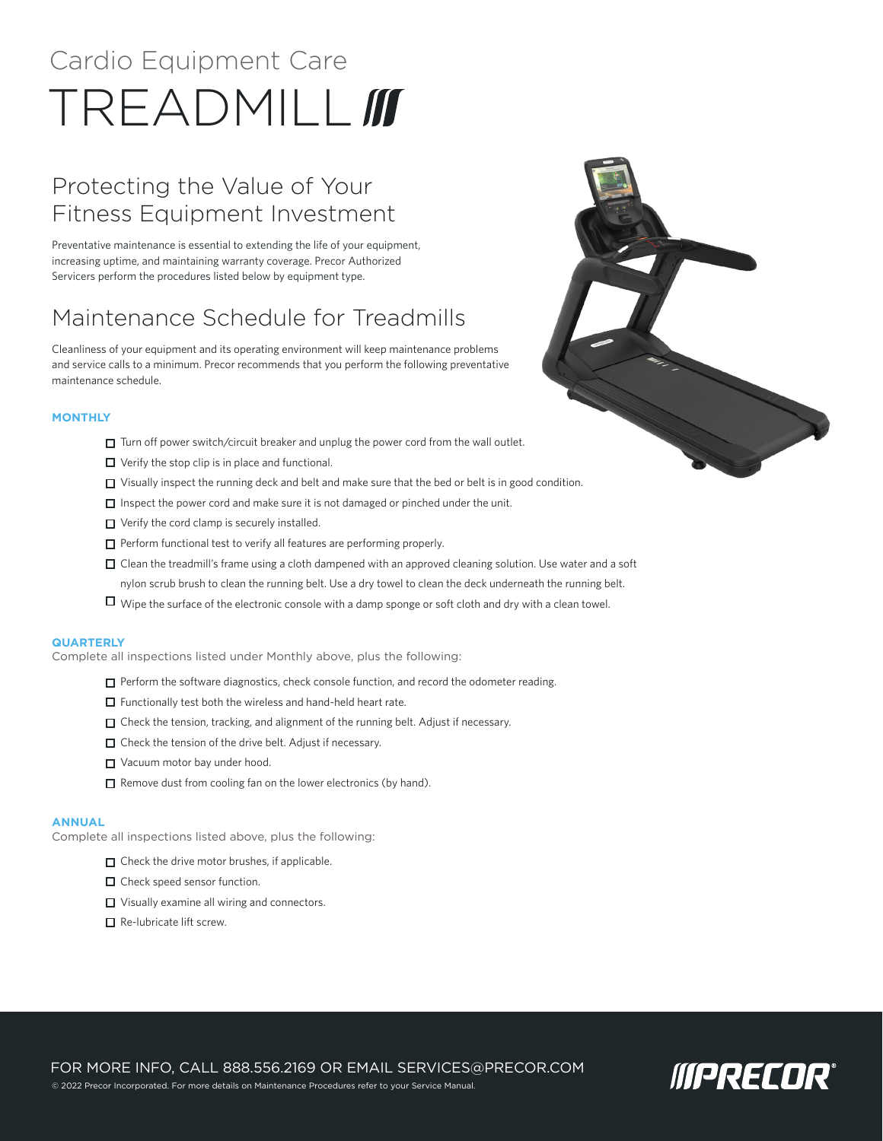# Cardio Equipment Care TREADMILL **III**

## Protecting the Value of Your Fitness Equipment Investment

Preventative maintenance is essential to extending the life of your equipment, increasing uptime, and maintaining warranty coverage. Precor Authorized Servicers perform the procedures listed below by equipment type.

# Maintenance Schedule for Treadmills

Cleanliness of your equipment and its operating environment will keep maintenance problems and service calls to a minimum. Precor recommends that you perform the following preventative maintenance schedule.

#### **MONTHLY**

- $\Box$  Turn off power switch/circuit breaker and unplug the power cord from the wall outlet.
- $\Box$  Verify the stop clip is in place and functional.
- $\Box$  Visually inspect the running deck and belt and make sure that the bed or belt is in good condition.
- $\Box$  Inspect the power cord and make sure it is not damaged or pinched under the unit.
- □ Verify the cord clamp is securely installed.
- $\Box$  Perform functional test to verify all features are performing properly.
- Clean the treadmill's frame using a cloth dampened with an approved cleaning solution. Use water and a soft nylon scrub brush to clean the running belt. Use a dry towel to clean the deck underneath the running belt.
- Wipe the surface of the electronic console with a damp sponge or soft cloth and dry with a clean towel.

#### **QUARTERLY**

Complete all inspections listed under Monthly above, plus the following:

- $\Box$  Perform the software diagnostics, check console function, and record the odometer reading.
- $\Box$  Functionally test both the wireless and hand-held heart rate.
- $\Box$  Check the tension, tracking, and alignment of the running belt. Adjust if necessary.
- $\Box$  Check the tension of the drive belt. Adjust if necessary.
- □ Vacuum motor bay under hood.
- $\Box$  Remove dust from cooling fan on the lower electronics (by hand).

#### **ANNUAL**

Complete all inspections listed above, plus the following:

- $\Box$  Check the drive motor brushes, if applicable.
- $\Box$  Check speed sensor function.
- $\Box$  Visually examine all wiring and connectors.
- $\Box$  Re-lubricate lift screw.





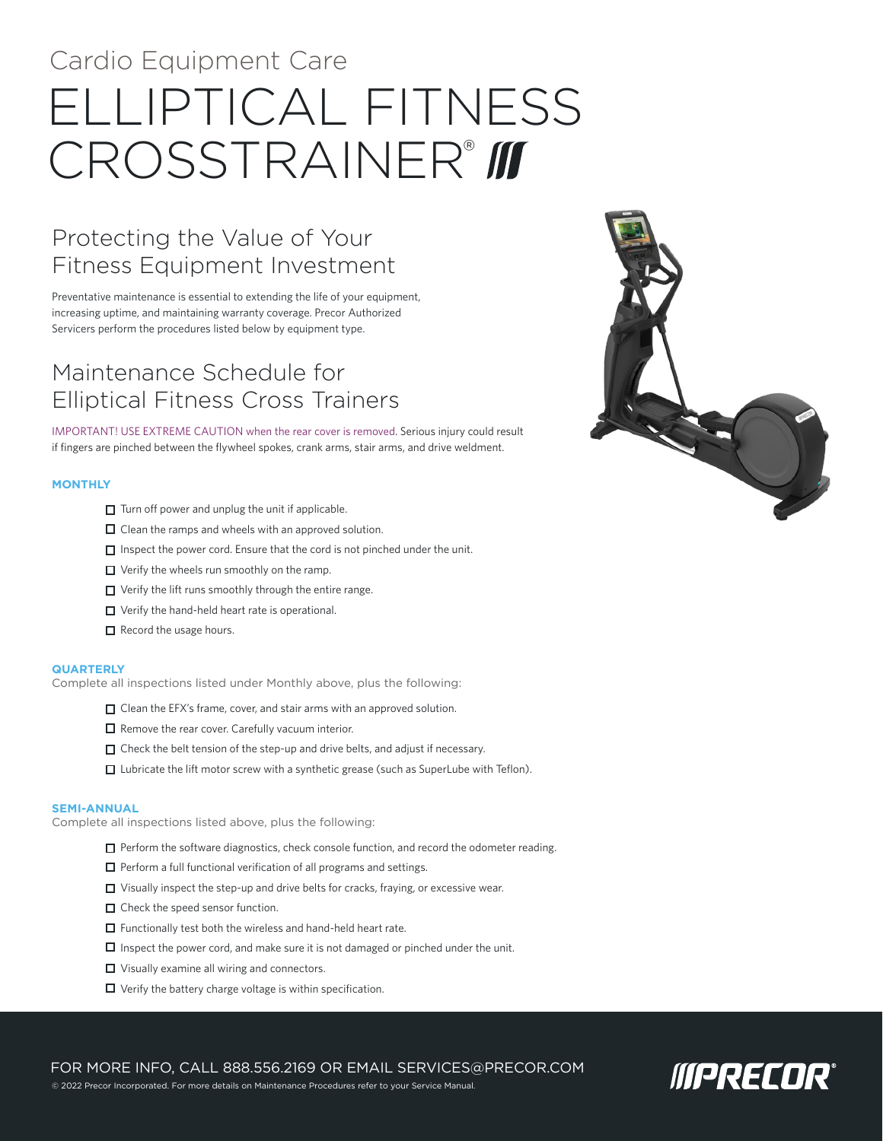# Cardio Equipment Care ELLIPTICAL FITNESS CROSSTRAINER® III

## Protecting the Value of Your Fitness Equipment Investment

Preventative maintenance is essential to extending the life of your equipment, increasing uptime, and maintaining warranty coverage. Precor Authorized Servicers perform the procedures listed below by equipment type.

## Maintenance Schedule for Elliptical Fitness Cross Trainers

IMPORTANT! USE EXTREME CAUTION when the rear cover is removed. Serious injury could result if fingers are pinched between the flywheel spokes, crank arms, stair arms, and drive weldment.

#### **MONTHLY**

- $\Box$  Turn off power and unplug the unit if applicable.
- $\Box$  Clean the ramps and wheels with an approved solution.
- $\Box$  Inspect the power cord. Ensure that the cord is not pinched under the unit.
- □ Verify the wheels run smoothly on the ramp.
- $\Box$  Verify the lift runs smoothly through the entire range.
- □ Verify the hand-held heart rate is operational.
- $\Box$  Record the usage hours.

#### **QUARTERLY**

Complete all inspections listed under Monthly above, plus the following:

- $\Box$  Clean the EFX's frame, cover, and stair arms with an approved solution.
- $\Box$  Remove the rear cover. Carefully vacuum interior.
- $\Box$  Check the belt tension of the step-up and drive belts, and adjust if necessary.
- $\Box$  Lubricate the lift motor screw with a synthetic grease (such as SuperLube with Teflon).

#### **SEMI-ANNUAL**

Complete all inspections listed above, plus the following:

- $\Box$  Perform the software diagnostics, check console function, and record the odometer reading.
- $\Box$  Perform a full functional verification of all programs and settings.
- □ Visually inspect the step-up and drive belts for cracks, fraying, or excessive wear.
- $\Box$  Check the speed sensor function.
- $\Box$  Functionally test both the wireless and hand-held heart rate.
- $\Box$  Inspect the power cord, and make sure it is not damaged or pinched under the unit.
- □ Visually examine all wiring and connectors.
- $\Box$  Verify the battery charge voltage is within specification.

© 2022 Precor Incorporated. For more details on Maintenance Procedures refer to your Service Manual.

FOR MORE INFO, CALL 888.556.2169 OR EMAIL SERVICES@PRECOR.COM

**MPRECOR®** 

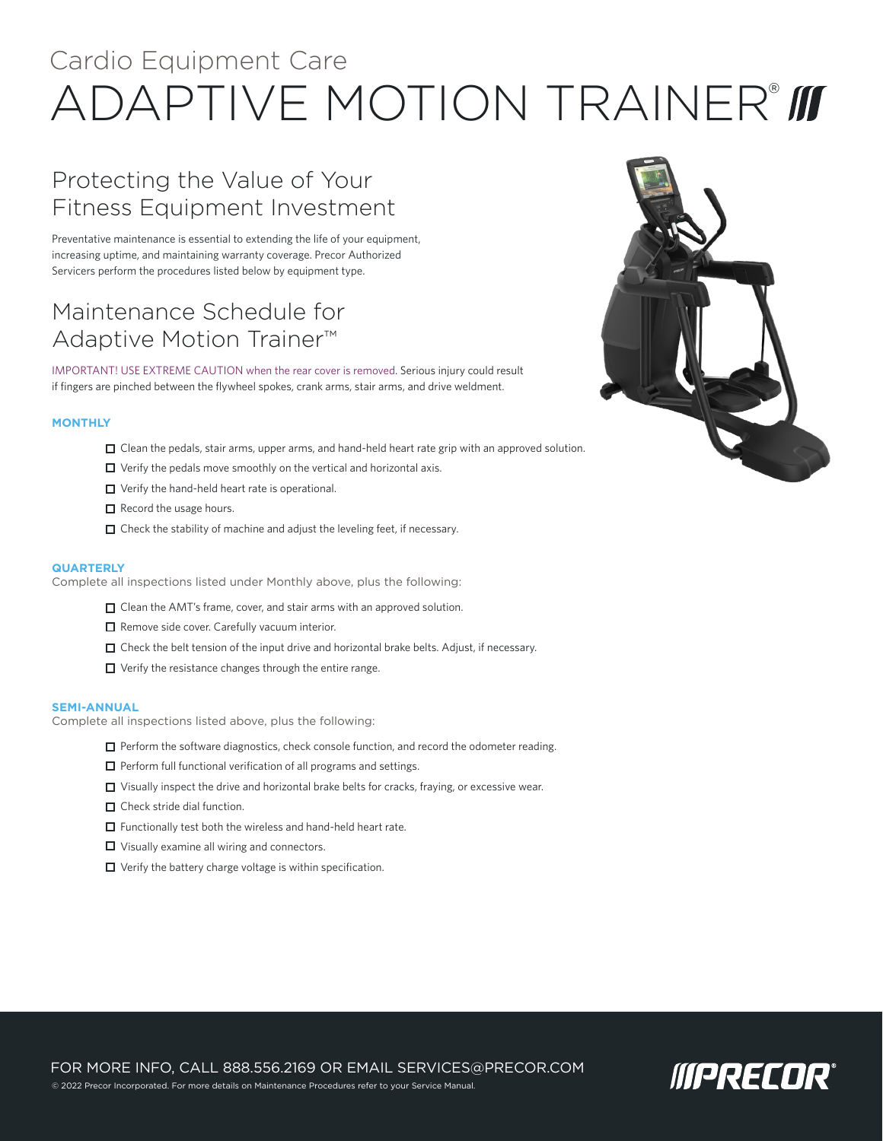# Cardio Equipment Care ADAPTIVE MOTION TRAINER®

## Protecting the Value of Your Fitness Equipment Investment

Preventative maintenance is essential to extending the life of your equipment, increasing uptime, and maintaining warranty coverage. Precor Authorized Servicers perform the procedures listed below by equipment type.

### Maintenance Schedule for Adaptive Motion Trainer™

IMPORTANT! USE EXTREME CAUTION when the rear cover is removed. Serious injury could result if fingers are pinched between the flywheel spokes, crank arms, stair arms, and drive weldment.

#### **MONTHLY**

- $\Box$  Clean the pedals, stair arms, upper arms, and hand-held heart rate grip with an approved solution.
- $\Box$  Verify the pedals move smoothly on the vertical and horizontal axis.
- □ Verify the hand-held heart rate is operational.
- $\Box$  Record the usage hours.
- $\Box$  Check the stability of machine and adjust the leveling feet, if necessary.

#### **QUARTERLY**

Complete all inspections listed under Monthly above, plus the following:

- □ Clean the AMT's frame, cover, and stair arms with an approved solution.
- $\Box$  Remove side cover. Carefully vacuum interior.
- $\Box$  Check the belt tension of the input drive and horizontal brake belts. Adjust, if necessary.
- $\Box$  Verify the resistance changes through the entire range.

#### **SEMI-ANNUAL**

Complete all inspections listed above, plus the following:

- $\Box$  Perform the software diagnostics, check console function, and record the odometer reading.
- $\Box$  Perform full functional verification of all programs and settings.
- $\Box$  Visually inspect the drive and horizontal brake belts for cracks, fraying, or excessive wear.
- $\Box$  Check stride dial function.
- $\Box$  Functionally test both the wireless and hand-held heart rate.
- $\Box$  Visually examine all wiring and connectors.
- $\Box$  Verify the battery charge voltage is within specification.



FOR MORE INFO, CALL 888.556.2169 OR EMAIL SERVICES@PRECOR.COM © 2022 Precor Incorporated. For more details on Maintenance Procedures refer to your Service Manual

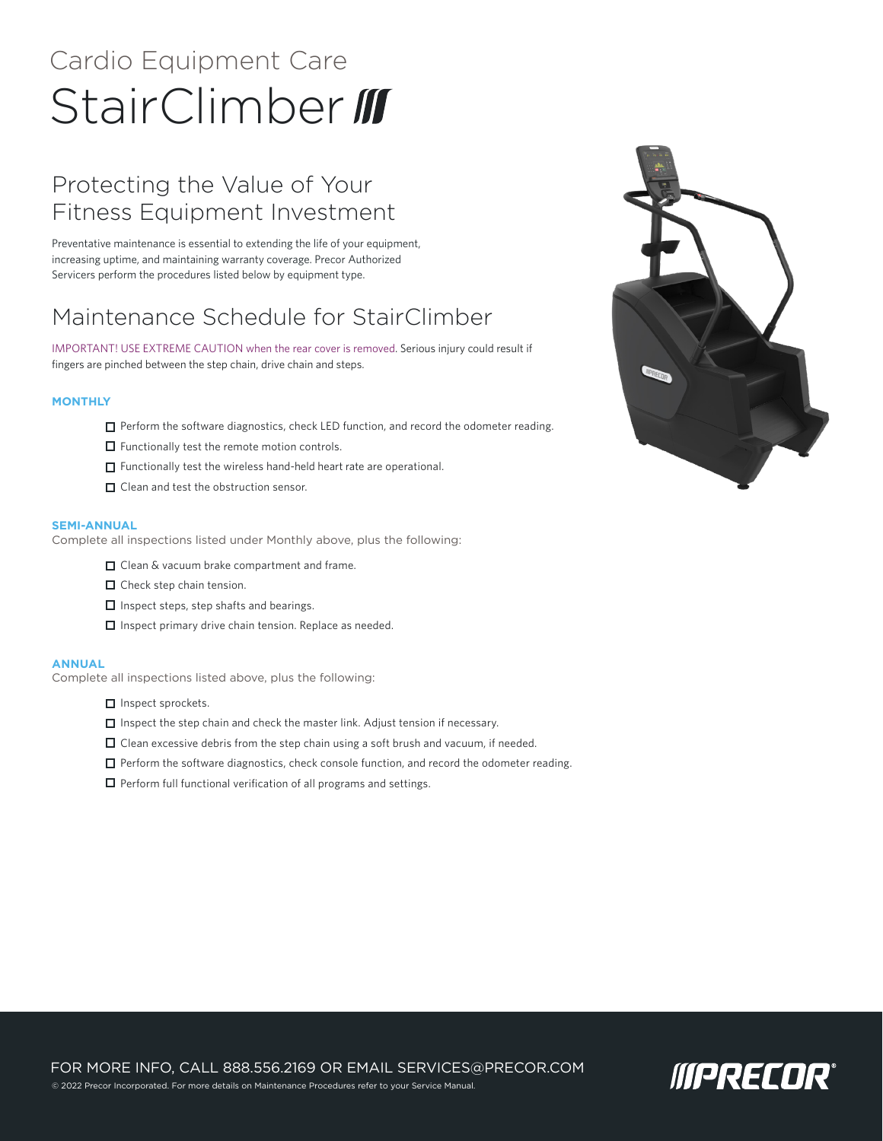# Cardio Equipment Care StairClimber III

# Protecting the Value of Your Fitness Equipment Investment

Preventative maintenance is essential to extending the life of your equipment, increasing uptime, and maintaining warranty coverage. Precor Authorized Servicers perform the procedures listed below by equipment type.

## Maintenance Schedule for StairClimber

IMPORTANT! USE EXTREME CAUTION when the rear cover is removed. Serious injury could result if fingers are pinched between the step chain, drive chain and steps.

#### **MONTHLY**

- $\Box$  Perform the software diagnostics, check LED function, and record the odometer reading.
- $\Box$  Functionally test the remote motion controls.
- $\Box$  Functionally test the wireless hand-held heart rate are operational.
- □ Clean and test the obstruction sensor.

#### **SEMI-ANNUAL**

Complete all inspections listed under Monthly above, plus the following:

- □ Clean & vacuum brake compartment and frame.
- $\Box$  Check step chain tension.
- $\Box$  Inspect steps, step shafts and bearings.
- $\Box$  Inspect primary drive chain tension. Replace as needed.

#### **ANNUAL**

Complete all inspections listed above, plus the following:

- $\Box$  Inspect sprockets.
- $\Box$  Inspect the step chain and check the master link. Adjust tension if necessary.
- $\Box$  Clean excessive debris from the step chain using a soft brush and vacuum, if needed.
- $\Box$  Perform the software diagnostics, check console function, and record the odometer reading.
- $\Box$  Perform full functional verification of all programs and settings.



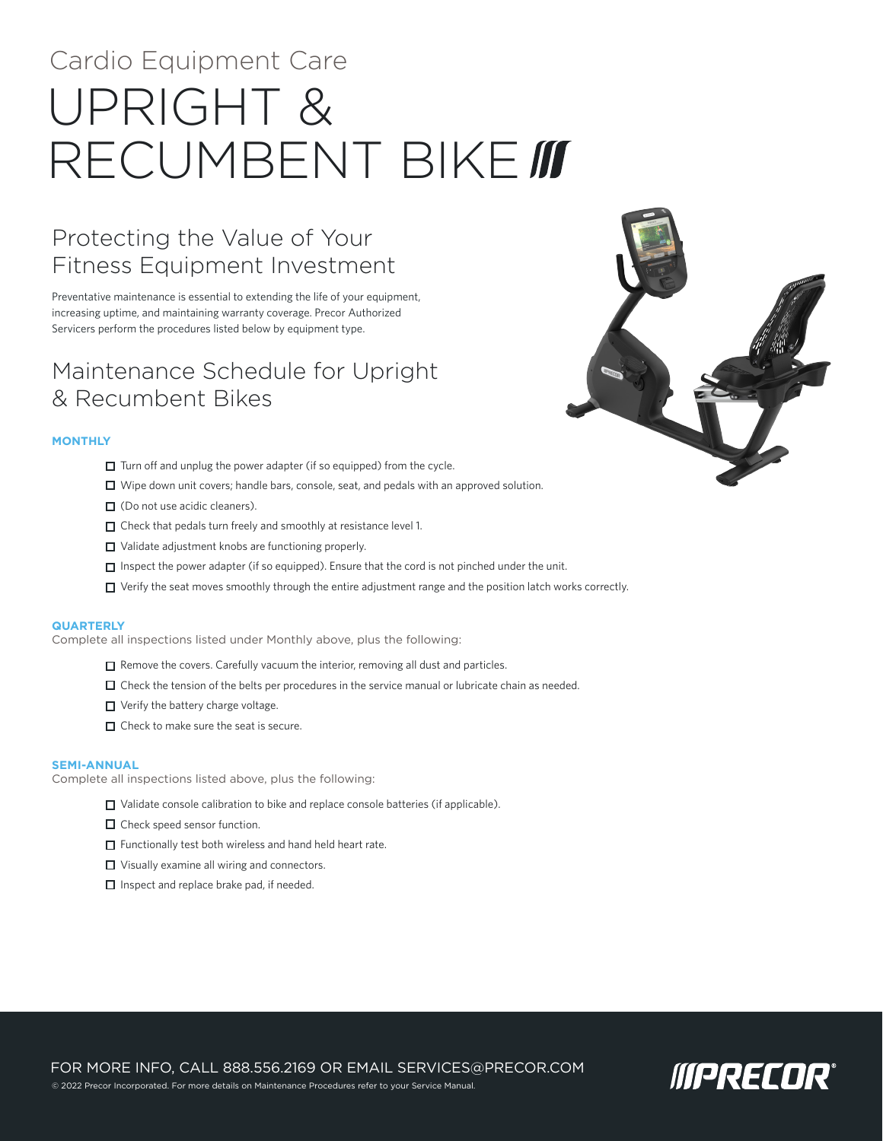# Cardio Equipment Care UPRIGHT & RECUMBENT BIKE III

## Protecting the Value of Your Fitness Equipment Investment

Preventative maintenance is essential to extending the life of your equipment, increasing uptime, and maintaining warranty coverage. Precor Authorized Servicers perform the procedures listed below by equipment type.

### Maintenance Schedule for Upright & Recumbent Bikes

#### **MONTHLY**

- $\Box$  Turn off and unplug the power adapter (if so equipped) from the cycle.
- $\Box$  Wipe down unit covers; handle bars, console, seat, and pedals with an approved solution.
- □ (Do not use acidic cleaners).
- $\Box$  Check that pedals turn freely and smoothly at resistance level 1.
- □ Validate adjustment knobs are functioning properly.
- $\Box$  Inspect the power adapter (if so equipped). Ensure that the cord is not pinched under the unit.
- Verify the seat moves smoothly through the entire adjustment range and the position latch works correctly.

#### **QUARTERLY**

Complete all inspections listed under Monthly above, plus the following:

- $\Box$  Remove the covers. Carefully vacuum the interior, removing all dust and particles.
- $\Box$  Check the tension of the belts per procedures in the service manual or lubricate chain as needed.
- $\Box$  Verify the battery charge voltage.
- $\Box$  Check to make sure the seat is secure.

#### **SEMI-ANNUAL**

Complete all inspections listed above, plus the following:

- $\Box$  Validate console calibration to bike and replace console batteries (if applicable).
- □ Check speed sensor function.
- $\Box$  Functionally test both wireless and hand held heart rate.
- □ Visually examine all wiring and connectors.
- $\Box$  Inspect and replace brake pad, if needed.



FOR MORE INFO, CALL 888.556.2169 OR EMAIL SERVICES@PRECOR.COM © 2022 Precor Incorporated. For more details on Maintenance Procedures refer to your Service Manual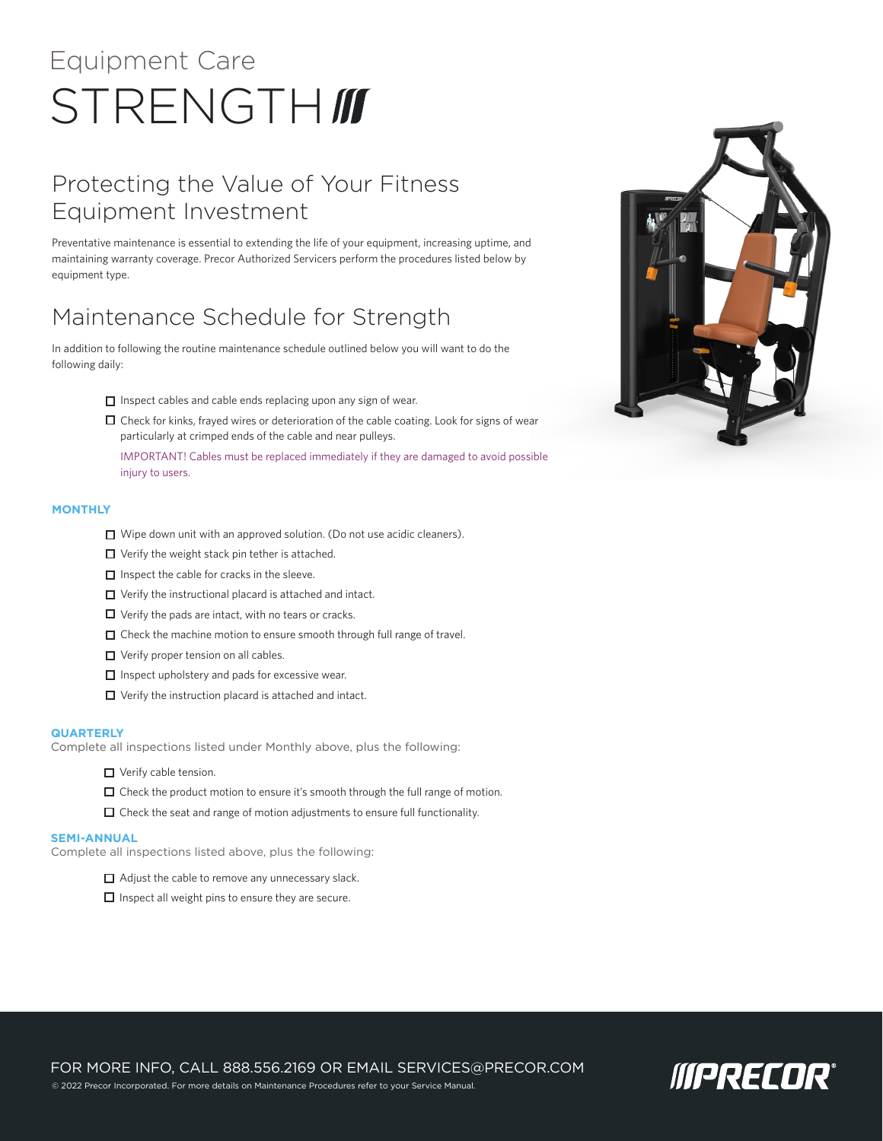# Equipment Care STRENGTH*III*

# Protecting the Value of Your Fitness Equipment Investment

Preventative maintenance is essential to extending the life of your equipment, increasing uptime, and maintaining warranty coverage. Precor Authorized Servicers perform the procedures listed below by equipment type.

## Maintenance Schedule for Strength

In addition to following the routine maintenance schedule outlined below you will want to do the following daily:

- $\Box$  Inspect cables and cable ends replacing upon any sign of wear.
- $\Box$  Check for kinks, frayed wires or deterioration of the cable coating. Look for signs of wear particularly at crimped ends of the cable and near pulleys.
	- IMPORTANT! Cables must be replaced immediately if they are damaged to avoid possible injury to users.

#### **MONTHLY**

- □ Wipe down unit with an approved solution. (Do not use acidic cleaners).
- $\Box$  Verify the weight stack pin tether is attached.
- $\Box$  Inspect the cable for cracks in the sleeve.
- Verify the instructional placard is attached and intact.
- $\Box$  Verify the pads are intact, with no tears or cracks.
- $\Box$  Check the machine motion to ensure smooth through full range of travel.
- $\Box$  Verify proper tension on all cables.
- $\Box$  Inspect upholstery and pads for excessive wear.
- $\Box$  Verify the instruction placard is attached and intact.

#### **QUARTERLY**

Complete all inspections listed under Monthly above, plus the following:

- □ Verify cable tension.
- $\Box$  Check the product motion to ensure it's smooth through the full range of motion.
- $\Box$  Check the seat and range of motion adjustments to ensure full functionality.

#### **SEMI-ANNUAL**

Complete all inspections listed above, plus the following:

- Adjust the cable to remove any unnecessary slack.
- $\Box$  Inspect all weight pins to ensure they are secure.



FOR MORE INFO, CALL 888.556.2169 OR EMAIL SERVICES@PRECOR.COM © 2022 Precor Incorporated. For more details on Maintenance Procedures refer to your Service Manual.